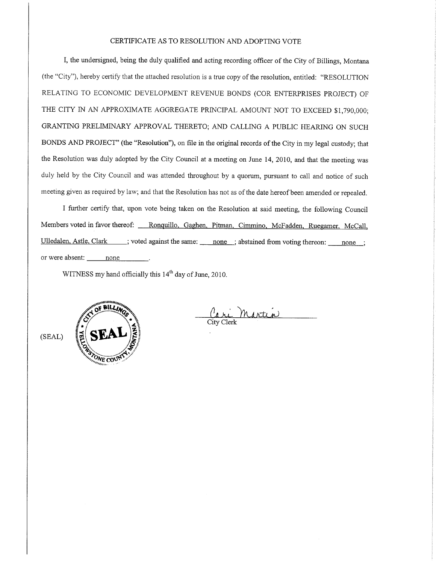# CERTIFICATE AS TO RESOLUTION AND ADOPTING VOTE

I, the undersigned, being the duly qualified and acting recording officer of the City of Billings, Monrana (the "City"), hereby certify that the attached resolution is a true copy of the resolution, entitled: "RESOLUTION RELATING TO ECONOMIC DEVELOPMENT REVENUE BONDS (COR ENTERPRISES PROJECT) OF THE CITY IN AN APPROXIMATE AGGREGATE PRINCIPAL AMOUNT NOT TO EXCEED \$1,790,000; GRANTING PRELIMINARY APPROVAL THERETO; AND CALLING A PUBLIC HEARING ON SUCH BONDS AND PROJECT" (the "Resolution"), on file in the original records of the City in my legal custody; that the Resolution was duly adopted by the City Council at a meeting on June 14, 2010, and that the meeting was duly held by the City Council and was attended throughout by a quorum, pursuant to call and notice of such rneeting given as required by law; and that the Resolution has not as of the date hereof been amended or repealed.

I further certify that, upon vote being taken on the Resolution at said meeting, the following Council Members voted in favor thereof: Ronquillo. Gaghen. Pitman. Cimmino. McFadden. Ruegamer. McCall. Ulledalen. Astle. Clark ; voted against the same: none ; abstained from voting thereon: none ; or were absent: none

WITNESS my hand officially this  $14<sup>th</sup>$  day of June, 2010.



Cari Martin City Clerk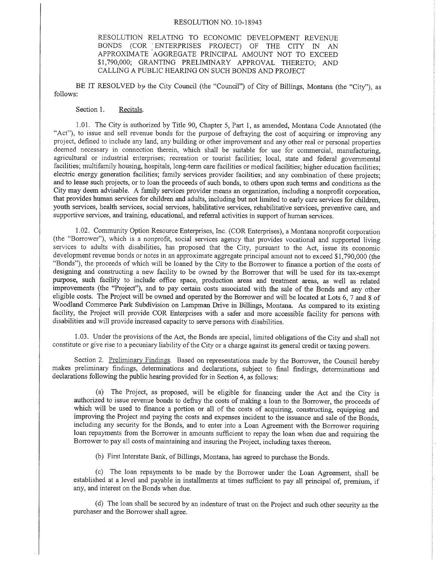### RESOLUTION NO. 10-18943

# RESOLUTION RELATING TO ECONOMIC DEVELOPMENT REVENUE BONDS (COR ENTERPRISES PROJECT) OF THE CITY IN AN APPROXIMATE AGGREGATE PRINCIPAL AMOUNT NOT TO EXCEED \$1,790,000; GRANTING PRELIMINARY APPROVAL THERETO; AND CALLING A PUBLIC HEARING ON SUCH BONDS AND PROJECT

BE IT RESOLVED by the City Council (the "Council") of City of Billings, Montana (the "City"), as follows:

## Section 1. Recitals.

1.01 . The City is authorized by Title 90, Chapter 5, Part 1, as amended, Montana Code Annotated (the "Act"), to issue and sell revenue bonds for the purpose of defraying the cost of acquiring or improving any project, defined to include any iand, any building or other improvement and any other real or personal properties deemed necessary in connection therein, which shall be suitable for use for commercial, manufacturing, agricultural or industrial enterprises; recreation or tourist facilities; local, state and federal governmental facilities; multifamily housing, hospitals, long-term care facilities or medical facilities; higher education facilities; electric energy generation facilities; family services provider facilities; and any combination of these projects; and to lease such projects, or to loan the proceeds of such bonds, to others upon such terms and conditions as the City may deem advisable. A family services provider means an organization, including a nonprofit corporation, that provides human services for children and adults, including but not limited to early care services for children, youth services, health seryices, social services, habilitative services, rehabilitative services, preventive care, and supportive services, and training, educational, and referral activities in support of human services.

1.02. Community Option Resource Enterprises, Inc. (COR Enterprises), a Montana nonprofit corporation (the "Borrower"), which is a nonprofìt, social services agency that provides vocational and supported living services to adults with disabilities, has proposed that the City, pursuant to the Act, issue its economic development revenue bonds or notes in an approximate aggregate principal amount not to exceed \$ 1,790,000 (the "Bonds"), the proceeds of which will be loaned by the City to the Borrower to finance a portion of the costs of desigring and constructing a new facility to be owned by the Borrower that will be used for its tax-exempt purpose, such facility to include office space, production areas and treatment areas, as well as related improvements (the "Project"), and to pay certain costs associated with the sale of the Bonds and any other eligible costs. The Project will be owned and operated by the Borrower and will be located at Lots 6, 7 and 8 of Woodland Commerce Park Subdivision on Lampman Drive in Billings, Montana. As compared to its existing facility, the Project will provide COR Enterprises with a safer and more accessible facility for persons with disabiiities and will provide increased capacity to serve persons with disabilities.

<sup>1</sup>.03 . Under the provisions of the Act, the Bonds are special, limited obligations of the City and shall not constitute or give rise to a pecuniary liability of the City or a charge against its general credit or taxing powers.

Section 2. Preliminary Findings. Based on representations made by the Borrower, the Council hereby makes preliminary findings, determinations and declarations, subject to final findings, determinations and declarations following the public hearing provided for in Section 4, as follows:

(a) The Project, as proposed, will be eligible for frnancing under the Act and the City is authorized to issue revenue bonds to defray the costs of making a loan to the Borrower, the proceeds of which will be used to finance a portion or all of the costs of acquiring, constructing, equipping and improving the Project and paying the costs and expenses incident to the issuance and sale of the Bonds, including any security for the Bonds, and to enter into a Loan Agreement with the Borrower requiring loan repayments from the Borrower in amounts sufficient to repay the loan when due and requiring the Borrower to pay all costs of maintaining and insuring the Project, inciuding taxes thereon.

(b) First Interstate Bank, of Billings, Montana, has agreed to purchase the Bonds.

(c) The loan repayments to be made by the Borrower under the Loan Agreement, shall be established at a level and payable in installments at times sufficient to pay all principal of, premium, if any, and interest on the Bonds when due.

(d) The loan shall be secured by an indenture of trust on the Project and such other security as the purchaser and the Borrower shall agree.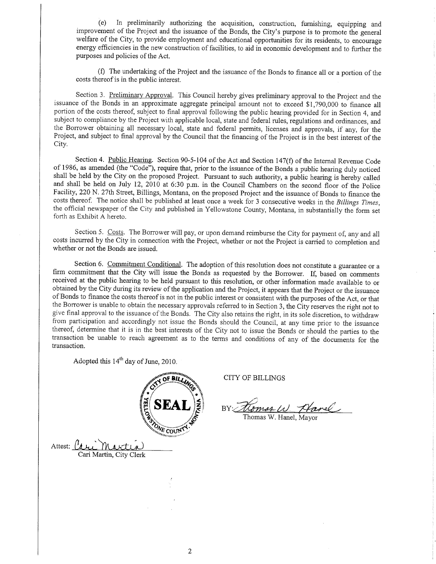(e) In preliminanly authorizing the acquisition, construction, fumishing, equipping and improvement of the Project and the issuance of the Bonds, the City's purpose is to promote the general welfare of the City, to provide employment and educational opportunities for its residents, to encourage energy efficiencies in the new construction of facilities, to aid in economic development and to further the purposes and policies of the Act.

(f) The undertaking of the Project and the issuance of the Bonds to finance all or a portion of the costs thereof is in the public interest.

Section 3. Preliminary Approval. This Council hereby gives preliminary approval to the Project and the issuance of the Bonds in an approximate aggregate principal amount not to exceed \$1,790,000 to finance all portion of the costs thereof, subject to final approval following the public hearing provided for in Section 4, and subject to compliance by the Project with applicable local, state and federal rules, regulations and ordinances, and the Borrower obtaining all necessary local, state and federal permits, licenses and approvals, if any, for the Project, and subject to final approval by the Council that the financing of the Project is in the best interest of the City.

Section 4. Public Hearing. Section 90-5-104 of the Act and Section 147(f) of the Internal Revenue Code of 1986, as amended (the "Code"), require that, prior to the issuance of the Bonds a public hearing duly noticed shall be held by the City on the proposed Project. Pursuant to such authority, a public hearing is hereby called and shall be held on July 12, 2010 at 6:30 p.m. in the Council Chambers on the second floor of thè police Facility, 220 N. 27th Street, Billings, Montana, on the proposed Project and the issuance of Bonds to finance the costs thereof. The notice shall be published at least once a week for 3 consecutive weeks in the Billings Times, the official newspaper of the City and published in Yellowstone County, Montana, in substantially the form set forth as Exhibit A hereto.

Section 5. Costs. The Borrower will pay, or upon demand reimburse the City for payment of, any and all costs incurred by the City in connection with the Project, whether or not the Project is carried to compietion and whether or not the Bonds are issued.

Section 6. Commitment Conditional. The adoption of this resolution does not constitute a guarantee or a firm commitment that the City will issue the Bonds as requested by the Borrower. If, based on comments received at the public hearing to be held pursuant to this resolution, or other information made available to or obtained by the City during its review of the application and the Project, it appears that the Project or the issuance of Bonds to fìnance the costs thereof is not in the public interest or consistent with the purposes of the Act, or that the Borrower is unable to obtain the necessary approvals referred to in Section 3, the City reserves the right not to give final approval to the issuance of the Bonds. The City aiso retains the right, in its sole discretion, to withdraw from participation and accordingly not issue the Bonds should the Council, at any time prior to the issuance thereof, determine that it is in the best interests of the City not to issue the Bonds or should the parties to the transaction be unable to reach agreement as to the terms and conditions of any of the documents for the transaction.

Adopted this 14<sup>th</sup> day of June, 2010.

munann OF BILL  $\frac{\partial N_E}{\partial m}$  count Attest:  $\int_{\mathbf{A}}^{\mathbf{I}}$ 

Cari Martin, City Clerk

CITY OF BILLINGS

Thomas W. Hanel. Mavor